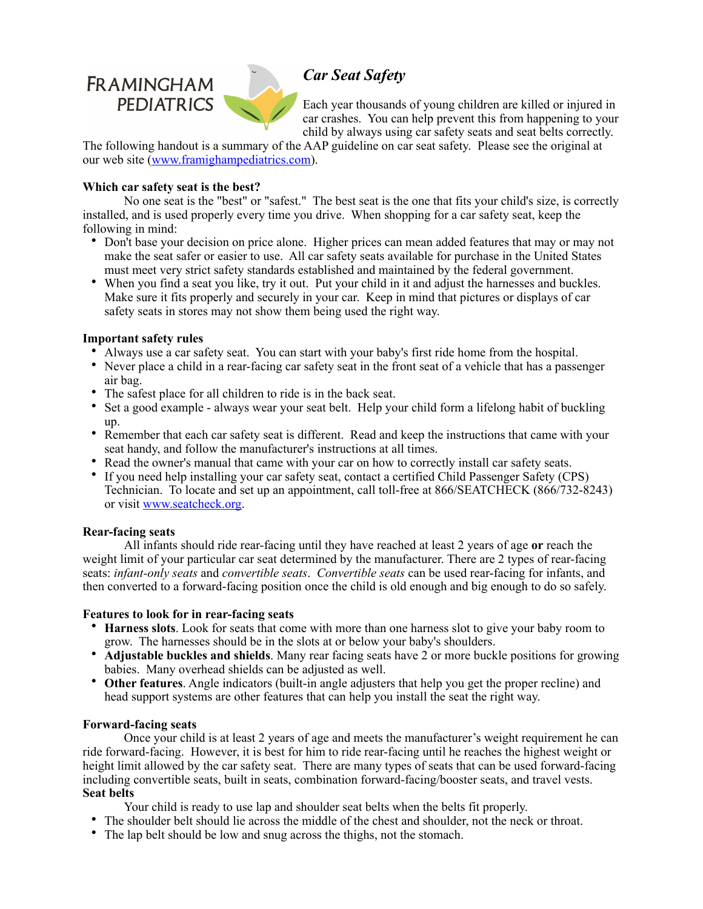

# *Car Seat Safety*

Each year thousands of young children are killed or injured in car crashes. You can help prevent this from happening to your child by always using car safety seats and seat belts correctly.

The following handout is a summary of the AAP guideline on car seat safety. Please see the original at our web site [\(www.framighampediatrics.com\)](http://www.framighampediatrics.com).

# **Which car safety seat is the best?**

 No one seat is the "best" or "safest." The best seat is the one that fits your child's size, is correctly installed, and is used properly every time you drive. When shopping for a car safety seat, keep the following in mind:

- Don't base your decision on price alone. Higher prices can mean added features that may or may not make the seat safer or easier to use. All car safety seats available for purchase in the United States must meet very strict safety standards established and maintained by the federal government.
- When you find a seat you like, try it out. Put your child in it and adjust the harnesses and buckles. Make sure it fits properly and securely in your car. Keep in mind that pictures or displays of car safety seats in stores may not show them being used the right way.

# **Important safety rules**

- Always use a car safety seat. You can start with your baby's first ride home from the hospital.
- Never place a child in a rear-facing car safety seat in the front seat of a vehicle that has a passenger air bag.
- The safest place for all children to ride is in the back seat.
- Set a good example always wear your seat belt. Help your child form a lifelong habit of buckling up.
- Remember that each car safety seat is different. Read and keep the instructions that came with your seat handy, and follow the manufacturer's instructions at all times.
- Read the owner's manual that came with your car on how to correctly install car safety seats.
- If you need help installing your car safety seat, contact a certified Child Passenger Safety (CPS) Technician. To locate and set up an appointment, call toll-free at 866/SEATCHECK (866/732-8243) or visit [www.seatcheck.org](http://www.seatcheck.org).

### **Rear-facing seats**

 All infants should ride rear-facing until they have reached at least 2 years of age **or** reach the weight limit of your particular car seat determined by the manufacturer. There are 2 types of rear-facing seats: *infant-only seats* and *convertible seats*. *Convertible seats* can be used rear-facing for infants, and then converted to a forward-facing position once the child is old enough and big enough to do so safely.

### **Features to look for in rear-facing seats**

- **Harness slots**. Look for seats that come with more than one harness slot to give your baby room to grow. The harnesses should be in the slots at or below your baby's shoulders.
- **Adjustable buckles and shields**. Many rear facing seats have 2 or more buckle positions for growing babies. Many overhead shields can be adjusted as well.
- **Other features**. Angle indicators (built-in angle adjusters that help you get the proper recline) and head support systems are other features that can help you install the seat the right way.

### **Forward-facing seats**

 Once your child is at least 2 years of age and meets the manufacturer's weight requirement he can ride forward-facing. However, it is best for him to ride rear-facing until he reaches the highest weight or height limit allowed by the car safety seat. There are many types of seats that can be used forward-facing including convertible seats, built in seats, combination forward-facing/booster seats, and travel vests. **Seat belts** 

Your child is ready to use lap and shoulder seat belts when the belts fit properly.

- The shoulder belt should lie across the middle of the chest and shoulder, not the neck or throat.
- The lap belt should be low and snug across the thighs, not the stomach.